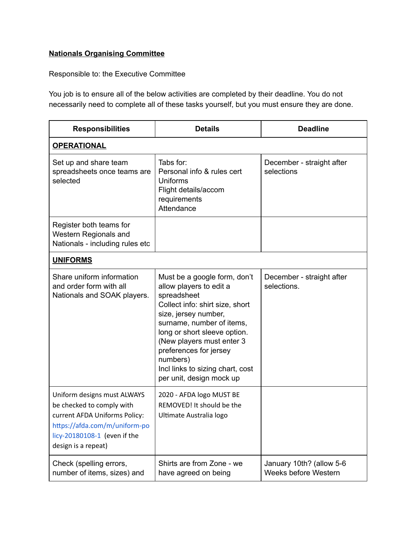## **Nationals Organising Committee**

Responsible to: the Executive Committee

You job is to ensure all of the below activities are completed by their deadline. You do not necessarily need to complete all of these tasks yourself, but you must ensure they are done.

| <b>Responsibilities</b>                                                                                                                                                           | <b>Details</b>                                                                                                                                                                                                                                                                                                                    | <b>Deadline</b>                                  |  |
|-----------------------------------------------------------------------------------------------------------------------------------------------------------------------------------|-----------------------------------------------------------------------------------------------------------------------------------------------------------------------------------------------------------------------------------------------------------------------------------------------------------------------------------|--------------------------------------------------|--|
| <b>OPERATIONAL</b>                                                                                                                                                                |                                                                                                                                                                                                                                                                                                                                   |                                                  |  |
| Set up and share team<br>spreadsheets once teams are<br>selected                                                                                                                  | Tabs for:<br>Personal info & rules cert<br>Uniforms<br>Flight details/accom<br>requirements<br>Attendance                                                                                                                                                                                                                         | December - straight after<br>selections          |  |
| Register both teams for<br>Western Regionals and<br>Nationals - including rules etc                                                                                               |                                                                                                                                                                                                                                                                                                                                   |                                                  |  |
| <b>UNIFORMS</b>                                                                                                                                                                   |                                                                                                                                                                                                                                                                                                                                   |                                                  |  |
| Share uniform information<br>and order form with all<br>Nationals and SOAK players.                                                                                               | Must be a google form, don't<br>allow players to edit a<br>spreadsheet<br>Collect info: shirt size, short<br>size, jersey number,<br>surname, number of items,<br>long or short sleeve option.<br>(New players must enter 3<br>preferences for jersey<br>numbers)<br>Incl links to sizing chart, cost<br>per unit, design mock up | December - straight after<br>selections.         |  |
| Uniform designs must ALWAYS<br>be checked to comply with<br>current AFDA Uniforms Policy:<br>https://afda.com/m/uniform-po<br>licy-20180108-1 (even if the<br>design is a repeat) | 2020 - AFDA logo MUST BE<br>REMOVED! It should be the<br>Ultimate Australia logo                                                                                                                                                                                                                                                  |                                                  |  |
| Check (spelling errors,<br>number of items, sizes) and                                                                                                                            | Shirts are from Zone - we<br>have agreed on being                                                                                                                                                                                                                                                                                 | January 10th? (allow 5-6<br>Weeks before Western |  |